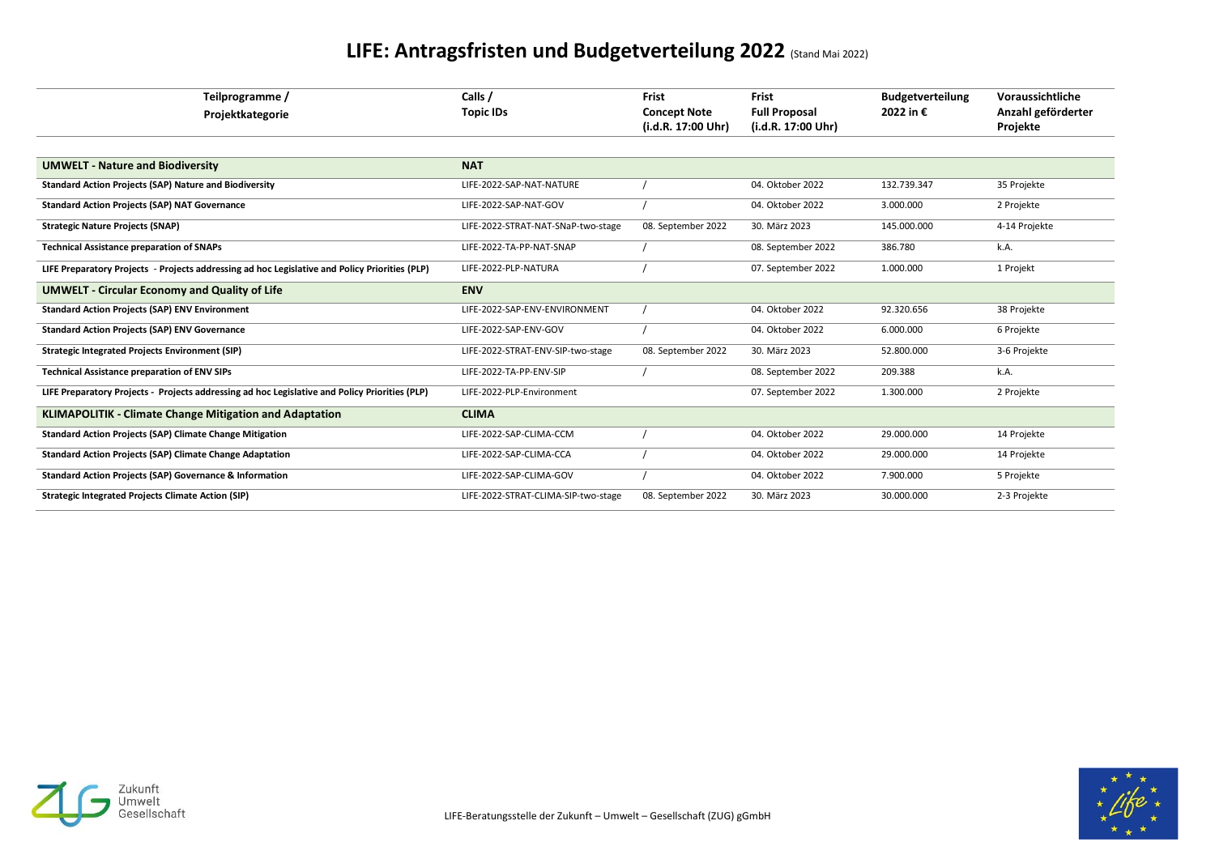

## **LIFE: Antragsfristen und Budgetverteilung 2022** (Stand Mai 2022)

| Teilprogramme /<br>Projektkategorie                                                            | Calls /<br><b>Topic IDs</b>         | <b>Frist</b><br><b>Concept Note</b><br>(i.d.R. 17:00 Uhr) | <b>Frist</b><br><b>Full Proposal</b><br>(i.d.R. 17:00 Uhr) | <b>Budgetverteilung</b><br>2022 in € | Voraussichtliche<br>Anzahl geförderter<br>Projekte |
|------------------------------------------------------------------------------------------------|-------------------------------------|-----------------------------------------------------------|------------------------------------------------------------|--------------------------------------|----------------------------------------------------|
| <b>UMWELT - Nature and Biodiversity</b>                                                        | <b>NAT</b>                          |                                                           |                                                            |                                      |                                                    |
| <b>Standard Action Projects (SAP) Nature and Biodiversity</b>                                  | LIFE-2022-SAP-NAT-NATURE            |                                                           | 04. Oktober 2022                                           | 132.739.347                          | 35 Projekte                                        |
| <b>Standard Action Projects (SAP) NAT Governance</b>                                           | LIFE-2022-SAP-NAT-GOV               |                                                           | 04. Oktober 2022                                           | 3.000.000                            | 2 Projekte                                         |
| <b>Strategic Nature Projects (SNAP)</b>                                                        | LIFE-2022-STRAT-NAT-SNaP-two-stage  | 08. September 2022                                        | 30. März 2023                                              | 145.000.000                          | 4-14 Projekte                                      |
| <b>Technical Assistance preparation of SNAPs</b>                                               | LIFE-2022-TA-PP-NAT-SNAP            |                                                           | 08. September 2022                                         | 386.780                              | k.A.                                               |
| LIFE Preparatory Projects - Projects addressing ad hoc Legislative and Policy Priorities (PLP) | LIFE-2022-PLP-NATURA                |                                                           | 07. September 2022                                         | 1.000.000                            | 1 Projekt                                          |
| <b>UMWELT - Circular Economy and Quality of Life</b>                                           | <b>ENV</b>                          |                                                           |                                                            |                                      |                                                    |
| <b>Standard Action Projects (SAP) ENV Environment</b>                                          | LIFE-2022-SAP-ENV-ENVIRONMENT       |                                                           | 04. Oktober 2022                                           | 92.320.656                           | 38 Projekte                                        |
| <b>Standard Action Projects (SAP) ENV Governance</b>                                           | LIFE-2022-SAP-ENV-GOV               |                                                           | 04. Oktober 2022                                           | 6.000.000                            | 6 Projekte                                         |
| <b>Strategic Integrated Projects Environment (SIP)</b>                                         | LIFE-2022-STRAT-ENV-SIP-two-stage   | 08. September 2022                                        | 30. März 2023                                              | 52.800.000                           | 3-6 Projekte                                       |
| <b>Technical Assistance preparation of ENV SIPs</b>                                            | LIFE-2022-TA-PP-ENV-SIP             |                                                           | 08. September 2022                                         | 209.388                              | k.A.                                               |
| LIFE Preparatory Projects - Projects addressing ad hoc Legislative and Policy Priorities (PLP) | LIFE-2022-PLP-Environment           |                                                           | 07. September 2022                                         | 1.300.000                            | 2 Projekte                                         |
| <b>KLIMAPOLITIK - Climate Change Mitigation and Adaptation</b>                                 | <b>CLIMA</b>                        |                                                           |                                                            |                                      |                                                    |
| <b>Standard Action Projects (SAP) Climate Change Mitigation</b>                                | LIFE-2022-SAP-CLIMA-CCM             |                                                           | 04. Oktober 2022                                           | 29.000.000                           | 14 Projekte                                        |
| <b>Standard Action Projects (SAP) Climate Change Adaptation</b>                                | LIFE-2022-SAP-CLIMA-CCA             |                                                           | 04. Oktober 2022                                           | 29.000.000                           | 14 Projekte                                        |
| <b>Standard Action Projects (SAP) Governance &amp; Information</b>                             | LIFE-2022-SAP-CLIMA-GOV             |                                                           | 04. Oktober 2022                                           | 7.900.000                            | 5 Projekte                                         |
| <b>Strategic Integrated Projects Climate Action (SIP)</b>                                      | LIFE-2022-STRAT-CLIMA-SIP-two-stage | 08. September 2022                                        | 30. März 2023                                              | 30.000.000                           | 2-3 Projekte                                       |